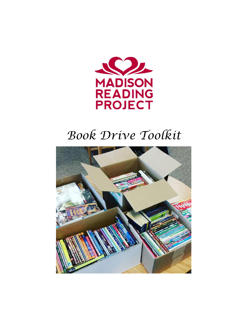

# *Book Drive Toolkit*

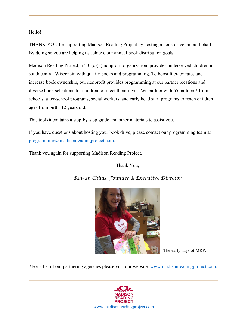Hello!

THANK YOU for supporting Madison Reading Project by hosting a book drive on our behalf. By doing so you are helping us achieve our annual book distribution goals.

Madison Reading Project, a 501(c)(3) nonprofit organization, provides underserved children in south central Wisconsin with quality books and programming. To boost literacy rates and increase book ownership, our nonprofit provides programming at our partner locations and diverse book selections for children to select themselves. We partner with 65 partners\* from schools, after-school programs, social workers, and early head start programs to reach children ages from birth -12 years old.

This toolkit contains a step-by-step guide and other materials to assist you.

If you have questions about hosting your book drive, please contact our programming team at programming@madisonreadingproject.com.

Thank you again for supporting Madison Reading Project.

Thank You,



*Rowan Childs, Founder & Executive Director* 

The early days of MRP.

\*For a list of our partnering agencies please visit our website: www.madisonreadingproject.com.

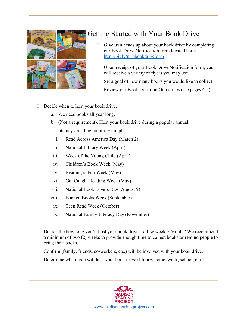

### Getting Started with Your Book Drive

 $\Box$  Give us a heads up about your book drive by completing our Book Drive Notification form located here: http://bit.ly/mrpbookdriveform

Upon receipt of your Book Drive Notification form, you will receive a variety of flyers you may use.

- $\Box$  Set a goal of how many books you would like to collect.
- $\Box$  Review our Book Donation Guidelines (see pages 4-5)

### $\Box$  Decide when to host your book drive.

- a. We need books all year long.
- b. (Not a requirement). Host your book drive during a popular annual literacy / reading month. Example
	- i. Read Across America Day (March 2)
	- ii. National Library Week (April)
- iii. Week of the Young Child (April)
- iv. Children's Book Week (May)
- v. Reading is Fun Week (May)
- vi. Get Caught Reading Week (May)
- vii. National Book Lovers Day (August 9)
- viii. Banned Books Week (September)
- ix. Teen Read Week (October)
- x. National Family Literacy Day (November)
- $\Box$  Decide the how long you'll host your book drive a few weeks? Month? We recommend a minimum of two (2) weeks to provide enough time to collect books or remind people to bring their books.
- $\Box$  Confirm (family, friends, co-workers, etc.) will be involved with your book drive.
- $\Box$  Determine where you will host your book drive (library, home, work, school, etc.)

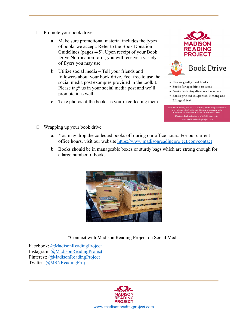- $\Box$  Promote your book drive.
	- a. Make sure promotional material includes the types of books we accept. Refer to the Book Donation Guidelines (pages 4-5). Upon receipt of your Book Drive Notification form, you will receive a variety of flyers you may use.
	- b. Utilize social media Tell your friends and followers about your book drive. Feel free to use the social media post examples provided in the toolkit. Please tag\* us in your social media post and we'll promote it as well.
	- c. Take photos of the books as you're collecting them.



- . New or gently used books
- · Books for ages birth to teens
- · Books featuring diverse characters
- Books printed in Spanish, Hmong and **Bilingual** text
- Madison Reading Project is a literacy based nonprofit which<br>provides quality books and literacy programming to<br>underserved children in south central Wisconsin.  $\label{lem:main} \begin{minipage}[c]{0.9\linewidth} \textbf{Madison Reading Project is a } \texttt{SOI(c)(3) nonprofit.}\\ \textbf{www.MadisonReadingProject.com} \end{minipage}$

- $\Box$  Wrapping up your book drive
	- a. You may drop the collected books off during our office hours. For our current office hours, visit our website https://www.madisonreadingproject.com/contact
	- b. Books should be in manageable boxes or sturdy bags which are strong enough for a large number of books.



\*Connect with Madison Reading Project on Social Media

Facebook: @MadisonReadingProject Instagram: @MadisonReadingProject Pinterest: @MadisonReadingProject Twitter: @MSNReadingProj

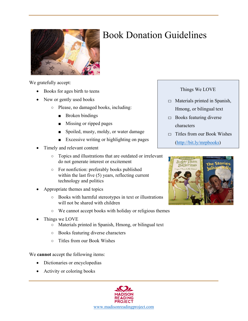

## Book Donation Guidelines

We gratefully accept:

- Books for ages birth to teens
- New or gently used books
	- Please, no damaged books, including:
		- Broken bindings
		- Missing or ripped pages
		- Spoiled, musty, moldy, or water damage
		- Excessive writing or highlighting on pages
- Timely and relevant content
	- Topics and illustrations that are outdated or irrelevant do not generate interest or excitement
	- For nonfiction: preferably books published within the last five (5) years, reflecting current technology and politics
- Appropriate themes and topics
	- Books with harmful stereotypes in text or illustrations will not be shared with children
	- We cannot accept books with holiday or religious themes
- Things we LOVE
	- Materials printed in Spanish, Hmong, or bilingual text
	- Books featuring diverse characters
	- Titles from our Book Wishes

We **cannot** accept the following items:

- Dictionaries or encyclopedias
- Activity or coloring books



Things We LOVE

- $\Box$  Materials printed in Spanish, Hmong, or bilingual text
- $\Box$  Books featuring diverse characters
- $\Box$  Titles from our Book Wishes (http://bit.ly/mrpbooks)